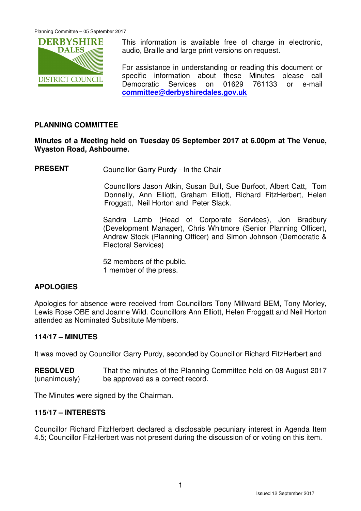

This information is available free of charge in electronic, audio, Braille and large print versions on request.

For assistance in understanding or reading this document or specific information about these Minutes please call Democratic Services on 01629 761133 or e-mail **committee@derbyshiredales.gov.uk**

# **PLANNING COMMITTEE**

## **Minutes of a Meeting held on Tuesday 05 September 2017 at 6.00pm at The Venue, Wyaston Road, Ashbourne.**

**PRESENT** Councillor Garry Purdy - In the Chair

 Councillors Jason Atkin, Susan Bull, Sue Burfoot, Albert Catt, Tom Donnelly, Ann Elliott, Graham Elliott, Richard FitzHerbert, Helen Froggatt, Neil Horton and Peter Slack.

Sandra Lamb (Head of Corporate Services), Jon Bradbury (Development Manager), Chris Whitmore (Senior Planning Officer), Andrew Stock (Planning Officer) and Simon Johnson (Democratic & Electoral Services)

52 members of the public. 1 member of the press.

# **APOLOGIES**

Apologies for absence were received from Councillors Tony Millward BEM, Tony Morley, Lewis Rose OBE and Joanne Wild. Councillors Ann Elliott, Helen Froggatt and Neil Horton attended as Nominated Substitute Members.

# **114/17 – MINUTES**

It was moved by Councillor Garry Purdy, seconded by Councillor Richard FitzHerbert and

**RESOLVED** (unanimously) That the minutes of the Planning Committee held on 08 August 2017 be approved as a correct record.

The Minutes were signed by the Chairman.

# **115/17 – INTERESTS**

Councillor Richard FitzHerbert declared a disclosable pecuniary interest in Agenda Item 4.5; Councillor FitzHerbert was not present during the discussion of or voting on this item.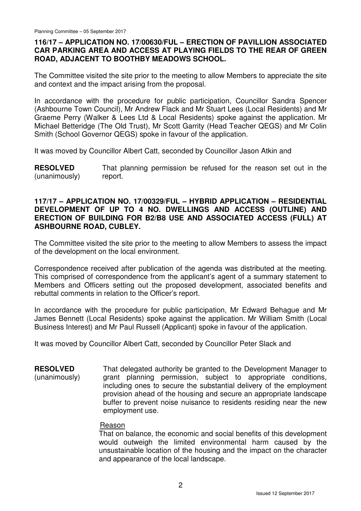### **116/17 – APPLICATION NO. 17/00630/FUL – ERECTION OF PAVILLION ASSOCIATED CAR PARKING AREA AND ACCESS AT PLAYING FIELDS TO THE REAR OF GREEN ROAD, ADJACENT TO BOOTHBY MEADOWS SCHOOL.**

The Committee visited the site prior to the meeting to allow Members to appreciate the site and context and the impact arising from the proposal.

In accordance with the procedure for public participation, Councillor Sandra Spencer (Ashbourne Town Council), Mr Andrew Flack and Mr Stuart Lees (Local Residents) and Mr Graeme Perry (Walker & Lees Ltd & Local Residents) spoke against the application. Mr Michael Betteridge (The Old Trust), Mr Scott Garrity (Head Teacher QEGS) and Mr Colin Smith (School Governor QEGS) spoke in favour of the application.

It was moved by Councillor Albert Catt, seconded by Councillor Jason Atkin and

**RESOLVED** (unanimously) That planning permission be refused for the reason set out in the report.

#### **117/17 – APPLICATION NO. 17/00329/FUL – HYBRID APPLICATION – RESIDENTIAL DEVELOPMENT OF UP TO 4 NO. DWELLINGS AND ACCESS (OUTLINE) AND ERECTION OF BUILDING FOR B2/B8 USE AND ASSOCIATED ACCESS (FULL) AT ASHBOURNE ROAD, CUBLEY.**

The Committee visited the site prior to the meeting to allow Members to assess the impact of the development on the local environment.

Correspondence received after publication of the agenda was distributed at the meeting. This comprised of correspondence from the applicant's agent of a summary statement to Members and Officers setting out the proposed development, associated benefits and rebuttal comments in relation to the Officer's report.

In accordance with the procedure for public participation, Mr Edward Behague and Mr James Bennett (Local Residents) spoke against the application. Mr William Smith (Local Business Interest) and Mr Paul Russell (Applicant) spoke in favour of the application.

It was moved by Councillor Albert Catt, seconded by Councillor Peter Slack and

**RESOLVED** (unanimously) That delegated authority be granted to the Development Manager to grant planning permission, subject to appropriate conditions, including ones to secure the substantial delivery of the employment provision ahead of the housing and secure an appropriate landscape buffer to prevent noise nuisance to residents residing near the new employment use.

### Reason

That on balance, the economic and social benefits of this development would outweigh the limited environmental harm caused by the unsustainable location of the housing and the impact on the character and appearance of the local landscape.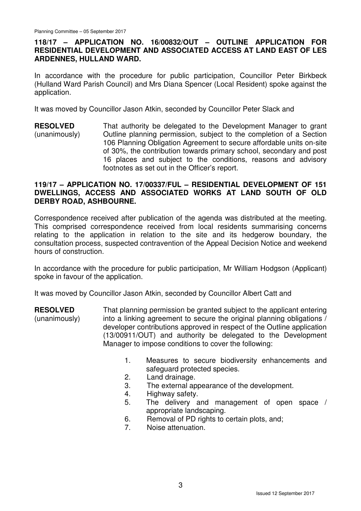## **118/17 – APPLICATION NO. 16/00832/OUT – OUTLINE APPLICATION FOR RESIDENTIAL DEVELOPMENT AND ASSOCIATED ACCESS AT LAND EAST OF LES ARDENNES, HULLAND WARD.**

In accordance with the procedure for public participation, Councillor Peter Birkbeck (Hulland Ward Parish Council) and Mrs Diana Spencer (Local Resident) spoke against the application.

It was moved by Councillor Jason Atkin, seconded by Councillor Peter Slack and

**RESOLVED** (unanimously) That authority be delegated to the Development Manager to grant Outline planning permission, subject to the completion of a Section 106 Planning Obligation Agreement to secure affordable units on-site of 30%, the contribution towards primary school, secondary and post 16 places and subject to the conditions, reasons and advisory footnotes as set out in the Officer's report.

### **119/17 – APPLICATION NO. 17/00337/FUL – RESIDENTIAL DEVELOPMENT OF 151 DWELLINGS, ACCESS AND ASSOCIATED WORKS AT LAND SOUTH OF OLD DERBY ROAD, ASHBOURNE.**

Correspondence received after publication of the agenda was distributed at the meeting. This comprised correspondence received from local residents summarising concerns relating to the application in relation to the site and its hedgerow boundary, the consultation process, suspected contravention of the Appeal Decision Notice and weekend hours of construction.

In accordance with the procedure for public participation, Mr William Hodgson (Applicant) spoke in favour of the application.

It was moved by Councillor Jason Atkin, seconded by Councillor Albert Catt and

**RESOLVED** (unanimously) That planning permission be granted subject to the applicant entering into a linking agreement to secure the original planning obligations / developer contributions approved in respect of the Outline application (13/00911/OUT) and authority be delegated to the Development Manager to impose conditions to cover the following:

- 1. Measures to secure biodiversity enhancements and safeguard protected species.
- 2. Land drainage.
- 3. The external appearance of the development.
- 4. Highway safety.
- 5. The delivery and management of open space / appropriate landscaping.
- 6. Removal of PD rights to certain plots, and;
- 7. Noise attenuation.